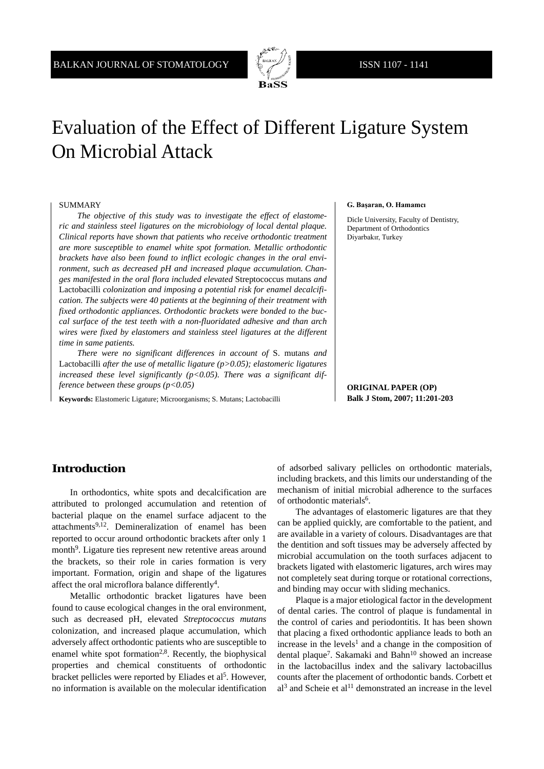

# Evaluation of the Effect of Different Ligature System On Microbial Attack

#### SUMMARY

*The objective of this study was to investigate the effect of elastomeric and stainless steel ligatures on the microbiology of local dental plaque. Clinical reports have shown that patients who receive orthodontic treatment are more susceptible to enamel white spot formation. Metallic orthodontic brackets have also been found to inflict ecologic changes in the oral environment, such as decreased pH and increased plaque accumulation. Changes manifested in the oral flora included elevated* Streptococcus mutans *and*  Lactobacilli *colonization and imposing a potential risk for enamel decalcification. The subjects were 40 patients at the beginning of their treatment with fixed orthodontic appliances. Orthodontic brackets were bonded to the buccal surface of the test teeth with a non-fluoridated adhesive and than arch wires were fixed by elastomers and stainless steel ligatures at the different time in same patients.*

*There were no significant differences in account of* S. mutans *and*  Lactobacilli *after the use of metallic ligature (p>0.05); elastomeric ligatures increased these level significantly (p<0.05). There was a significant difference between these groups (p<0.05)*

**Keywords:** Elastomeric Ligature; Microorganisms; S. Mutans; Lactobacilli

#### **G. Başaran, O. Hamamcı**

Dicle University, Faculty of Dentistry, Department of Orthodontics Diyarbakır, Turkey

**ORIGINAL PAPER (OP) Balk J Stom, 2007; 11:201-203**

## **Introduction**

In orthodontics, white spots and decalcification are attributed to prolonged accumulation and retention of bacterial plaque on the enamel surface adjacent to the attachments<sup>9,12</sup>. Demineralization of enamel has been reported to occur around orthodontic brackets after only 1 month<sup>9</sup>. Ligature ties represent new retentive areas around the brackets, so their role in caries formation is very important. Formation, origin and shape of the ligatures affect the oral microflora balance differently<sup>4</sup>.

Metallic orthodontic bracket ligatures have been found to cause ecological changes in the oral environment, such as decreased pH, elevated *Streptococcus mutans* colonization, and increased plaque accumulation, which adversely affect orthodontic patients who are susceptible to enamel white spot formation<sup>2,8</sup>. Recently, the biophysical properties and chemical constituents of orthodontic bracket pellicles were reported by Eliades et al<sup>5</sup>. However, no information is available on the molecular identification

of adsorbed salivary pellicles on orthodontic materials, including brackets, and this limits our understanding of the mechanism of initial microbial adherence to the surfaces of orthodontic materials<sup>6</sup>.

The advantages of elastomeric ligatures are that they can be applied quickly, are comfortable to the patient, and are available in a variety of colours. Disadvantages are that the dentition and soft tissues may be adversely affected by microbial accumulation on the tooth surfaces adjacent to brackets ligated with elastomeric ligatures, arch wires may not completely seat during torque or rotational corrections, and binding may occur with sliding mechanics.

Plaque is a major etiological factor in the development of dental caries. The control of plaque is fundamental in the control of caries and periodontitis. It has been shown that placing a fixed orthodontic appliance leads to both an increase in the levels<sup>1</sup> and a change in the composition of dental plaque<sup>7</sup>. Sakamaki and Bahn<sup>10</sup> showed an increase in the lactobacillus index and the salivary lactobacillus counts after the placement of orthodontic bands. Corbett et  $al<sup>3</sup>$  and Scheie et al<sup>11</sup> demonstrated an increase in the level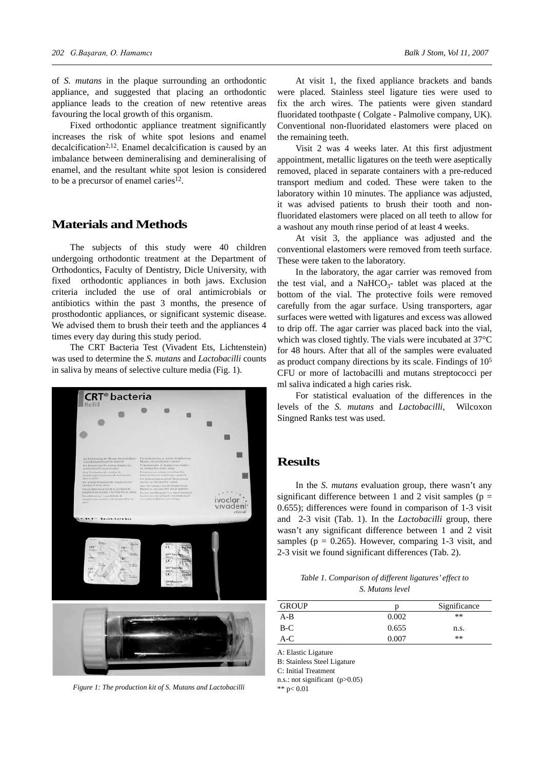of *S. mutans* in the plaque surrounding an orthodontic appliance, and suggested that placing an orthodontic appliance leads to the creation of new retentive areas favouring the local growth of this organism.

Fixed orthodontic appliance treatment significantly increases the risk of white spot lesions and enamel decalcification<sup>2,12</sup>. Enamel decalcification is caused by an imbalance between demineralising and demineralising of enamel, and the resultant white spot lesion is considered to be a precursor of enamel caries<sup>12</sup>.

# **Materials and Methods**

The subjects of this study were 40 children undergoing orthodontic treatment at the Department of Orthodontics, Faculty of Dentistry, Dicle University, with fixed orthodontic appliances in both jaws. Exclusion criteria included the use of oral antimicrobials or antibiotics within the past 3 months, the presence of prosthodontic appliances, or significant systemic disease. We advised them to brush their teeth and the appliances 4 times every day during this study period.

The CRT Bacteria Test (Vivadent Ets, Lichtenstein) was used to determine the *S. mutans* and *Lactobacilli* counts in saliva by means of selective culture media (Fig. 1).



*Figure 1: The production kit of S. Mutans and Lactobacilli* \*\*  $p < 0.01$ 

At visit 1, the fixed appliance brackets and bands were placed. Stainless steel ligature ties were used to fix the arch wires. The patients were given standard fluoridated toothpaste ( Colgate - Palmolive company, UK). Conventional non-fluoridated elastomers were placed on the remaining teeth.

Visit 2 was 4 weeks later. At this first adjustment appointment, metallic ligatures on the teeth were aseptically removed, placed in separate containers with a pre-reduced transport medium and coded. These were taken to the laboratory within 10 minutes. The appliance was adjusted, it was advised patients to brush their tooth and nonfluoridated elastomers were placed on all teeth to allow for a washout any mouth rinse period of at least 4 weeks.

At visit 3, the appliance was adjusted and the conventional elastomers were removed from teeth surface. These were taken to the laboratory.

In the laboratory, the agar carrier was removed from the test vial, and a NaHCO<sub>3</sub>- tablet was placed at the bottom of the vial. The protective foils were removed carefully from the agar surface. Using transporters, agar surfaces were wetted with ligatures and excess was allowed to drip off. The agar carrier was placed back into the vial, which was closed tightly. The vials were incubated at 37°C for 48 hours. After that all of the samples were evaluated as product company directions by its scale. Findings of  $10<sup>5</sup>$ CFU or more of lactobacilli and mutans streptococci per ml saliva indicated a high caries risk.

For statistical evaluation of the differences in the levels of the *S. mutans* and *Lactobacilli*, Wilcoxon Singned Ranks test was used.

### **Results**

In the *S. mutans* evaluation group, there wasn't any significant difference between 1 and 2 visit samples ( $p =$ 0.655); differences were found in comparison of 1-3 visit and 2-3 visit (Tab. 1). In the *Lactobacilli* group, there wasn't any significant difference between 1 and 2 visit samples ( $p = 0.265$ ). However, comparing 1-3 visit, and 2-3 visit we found significant differences (Tab. 2).

*Table 1. Comparison of different ligatures' effect to S. Mutans level*

| <b>GROUP</b> | n     | Significance |
|--------------|-------|--------------|
| $A - B$      | 0.002 | $***$        |
| $B-C$        | 0.655 | n.s.         |
| A-C          | 0.007 | $***$        |

A: Elastic Ligature

B: Stainless Steel Ligature

C: Initial Treatment

n.s.: not significant (p>0.05)